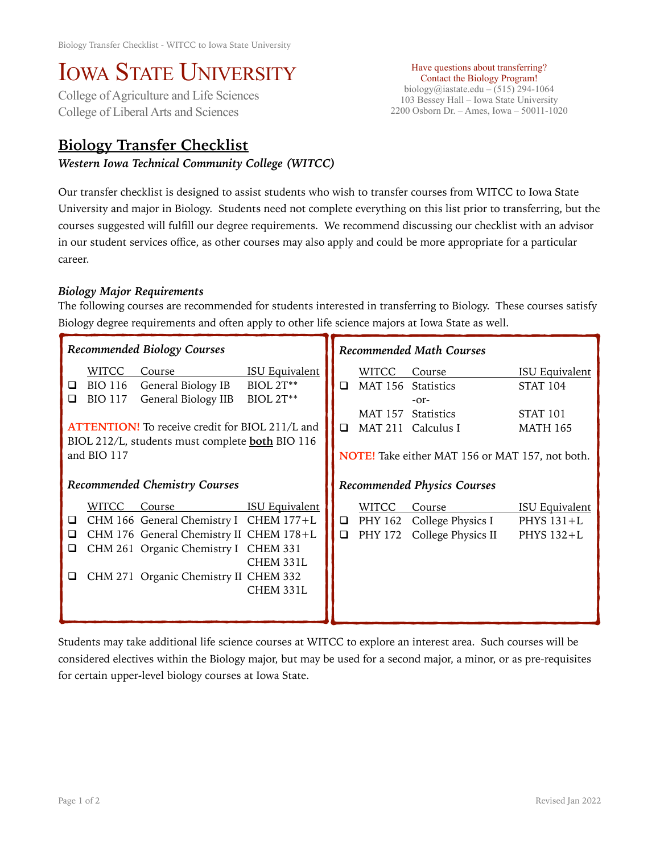# IOWA STATE UNIVERSITY<br>College of Agriculture and Life Sciences

College of Liberal Arts and Sciences

## **Biology Transfer Checklist**

#### *Western Iowa Technical Community College (WITCC)*

Have questions about transferring? Contact the Biology Program! biology@iastate.edu – (515) 294-1064 103 Bessey Hall – Iowa State University 2200 Osborn Dr. – Ames, Iowa – 50011-1020

Our transfer checklist is designed to assist students who wish to transfer courses from WITCC to Iowa State University and major in Biology. Students need not complete everything on this list prior to transferring, but the courses suggested will fulfill our degree requirements. We recommend discussing our checklist with an advisor in our student services office, as other courses may also apply and could be more appropriate for a particular career.

### *Biology Major Requirements*

The following courses are recommended for students interested in transferring to Biology. These courses satisfy Biology degree requirements and often apply to other life science majors at Iowa State as well.

| <b>Recommended Biology Courses</b>   |                                                                 |                                                                                                                                                                              |                                                               | <b>Recommended Math Courses</b>    |                  |                                                                                                                                       |                                                                         |
|--------------------------------------|-----------------------------------------------------------------|------------------------------------------------------------------------------------------------------------------------------------------------------------------------------|---------------------------------------------------------------|------------------------------------|------------------|---------------------------------------------------------------------------------------------------------------------------------------|-------------------------------------------------------------------------|
| ❏<br>◻                               | <b>WITCC</b><br><b>BIO 116</b><br><b>BIO 117</b><br>and BIO 117 | Course<br>General Biology IB<br>General Biology IIB<br><b>ATTENTION!</b> To receive credit for BIOL 211/L and<br>BIOL 212/L, students must complete <b>both</b> BIO 116      | <b>ISU Equivalent</b><br><b>BIOL 2T**</b><br><b>BIOL 2T**</b> | $\Box$<br>$\Box$                   | WITCC            | Course<br>MAT 156 Statistics<br>$-0r-$<br>MAT 157 Statistics<br>MAT 211 Calculus I<br>NOTE! Take either MAT 156 or MAT 157, not both. | <b>ISU Equivalent</b><br><b>STAT 104</b><br>STAT 101<br><b>MATH 165</b> |
| <b>Recommended Chemistry Courses</b> |                                                                 |                                                                                                                                                                              |                                                               | <b>Recommended Physics Courses</b> |                  |                                                                                                                                       |                                                                         |
| ⊔<br>⊔<br>⊔                          | WITCC                                                           | Course<br>CHM 166 General Chemistry I CHEM 177+L<br>CHM 176 General Chemistry II CHEM 178+L<br>CHM 261 Organic Chemistry I CHEM 331<br>CHM 271 Organic Chemistry II CHEM 332 | <b>ISU Equivalent</b><br>CHEM 331L<br>CHEM 331L               | $\Box$                             | WITCC<br>PHY 172 | Course<br>$\Box$ PHY 162 College Physics I<br>College Physics II                                                                      | <b>ISU Equivalent</b><br>PHYS 131+L<br>PHYS 132+L                       |

Students may take additional life science courses at WITCC to explore an interest area. Such courses will be considered electives within the Biology major, but may be used for a second major, a minor, or as pre-requisites for certain upper-level biology courses at Iowa State.